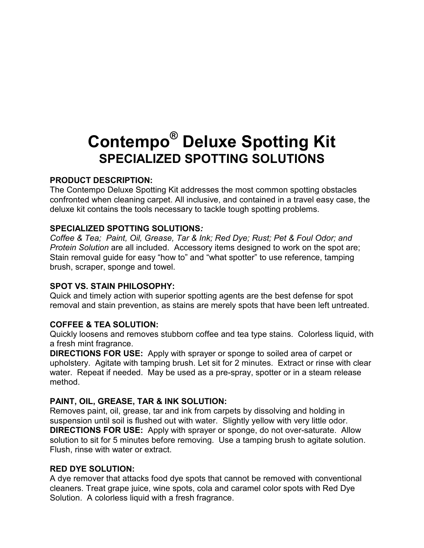# **Contempo® Deluxe Spotting Kit SPECIALIZED SPOTTING SOLUTIONS**

## **PRODUCT DESCRIPTION:**

The Contempo Deluxe Spotting Kit addresses the most common spotting obstacles confronted when cleaning carpet. All inclusive, and contained in a travel easy case, the deluxe kit contains the tools necessary to tackle tough spotting problems.

## **SPECIALIZED SPOTTING SOLUTIONS***:*

*Coffee & Tea; Paint, Oil, Grease, Tar & Ink; Red Dye; Rust; Pet & Foul Odor; and Protein Solution* are all included. Accessory items designed to work on the spot are; Stain removal guide for easy "how to" and "what spotter" to use reference, tamping brush, scraper, sponge and towel.

#### **SPOT VS. STAIN PHILOSOPHY:**

Quick and timely action with superior spotting agents are the best defense for spot removal and stain prevention, as stains are merely spots that have been left untreated.

## **COFFEE & TEA SOLUTION:**

Quickly loosens and removes stubborn coffee and tea type stains. Colorless liquid, with a fresh mint fragrance.

**DIRECTIONS FOR USE:** Apply with sprayer or sponge to soiled area of carpet or upholstery. Agitate with tamping brush. Let sit for 2 minutes. Extract or rinse with clear water. Repeat if needed. May be used as a pre-spray, spotter or in a steam release method.

## **PAINT, OIL, GREASE, TAR & INK SOLUTION:**

Removes paint, oil, grease, tar and ink from carpets by dissolving and holding in suspension until soil is flushed out with water. Slightly yellow with very little odor. **DIRECTIONS FOR USE:** Apply with sprayer or sponge, do not over-saturate. Allow solution to sit for 5 minutes before removing. Use a tamping brush to agitate solution. Flush, rinse with water or extract.

#### **RED DYE SOLUTION:**

A dye remover that attacks food dye spots that cannot be removed with conventional cleaners. Treat grape juice, wine spots, cola and caramel color spots with Red Dye Solution. A colorless liquid with a fresh fragrance.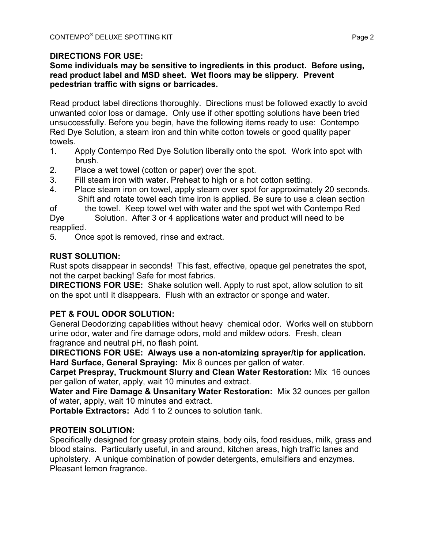# **DIRECTIONS FOR USE:**

#### **Some individuals may be sensitive to ingredients in this product. Before using, read product label and MSD sheet. Wet floors may be slippery. Prevent pedestrian traffic with signs or barricades.**

Read product label directions thoroughly. Directions must be followed exactly to avoid unwanted color loss or damage. Only use if other spotting solutions have been tried unsuccessfully. Before you begin, have the following items ready to use: Contempo Red Dye Solution, a steam iron and thin white cotton towels or good quality paper towels.

- 1. Apply Contempo Red Dye Solution liberally onto the spot. Work into spot with brush.
- 2. Place a wet towel (cotton or paper) over the spot.
- 3. Fill steam iron with water. Preheat to high or a hot cotton setting.
- 4. Place steam iron on towel, apply steam over spot for approximately 20 seconds. Shift and rotate towel each time iron is applied. Be sure to use a clean section

of the towel. Keep towel wet with water and the spot wet with Contempo Red Dye Solution. After 3 or 4 applications water and product will need to be

reapplied.

5. Once spot is removed, rinse and extract.

## **RUST SOLUTION:**

Rust spots disappear in seconds! This fast, effective, opaque gel penetrates the spot, not the carpet backing! Safe for most fabrics.

**DIRECTIONS FOR USE:** Shake solution well. Apply to rust spot, allow solution to sit on the spot until it disappears. Flush with an extractor or sponge and water.

## **PET & FOUL ODOR SOLUTION:**

General Deodorizing capabilities without heavy chemical odor. Works well on stubborn urine odor, water and fire damage odors, mold and mildew odors. Fresh, clean fragrance and neutral pH, no flash point.

**DIRECTIONS FOR USE: Always use a non-atomizing sprayer/tip for application. Hard Surface, General Spraying:** Mix 8 ounces per gallon of water.

**Carpet Prespray, Truckmount Slurry and Clean Water Restoration:** Mix 16 ounces per gallon of water, apply, wait 10 minutes and extract.

**Water and Fire Damage & Unsanitary Water Restoration:** Mix 32 ounces per gallon of water, apply, wait 10 minutes and extract.

**Portable Extractors:** Add 1 to 2 ounces to solution tank.

## **PROTEIN SOLUTION:**

Specifically designed for greasy protein stains, body oils, food residues, milk, grass and blood stains. Particularly useful, in and around, kitchen areas, high traffic lanes and upholstery. A unique combination of powder detergents, emulsifiers and enzymes. Pleasant lemon fragrance.